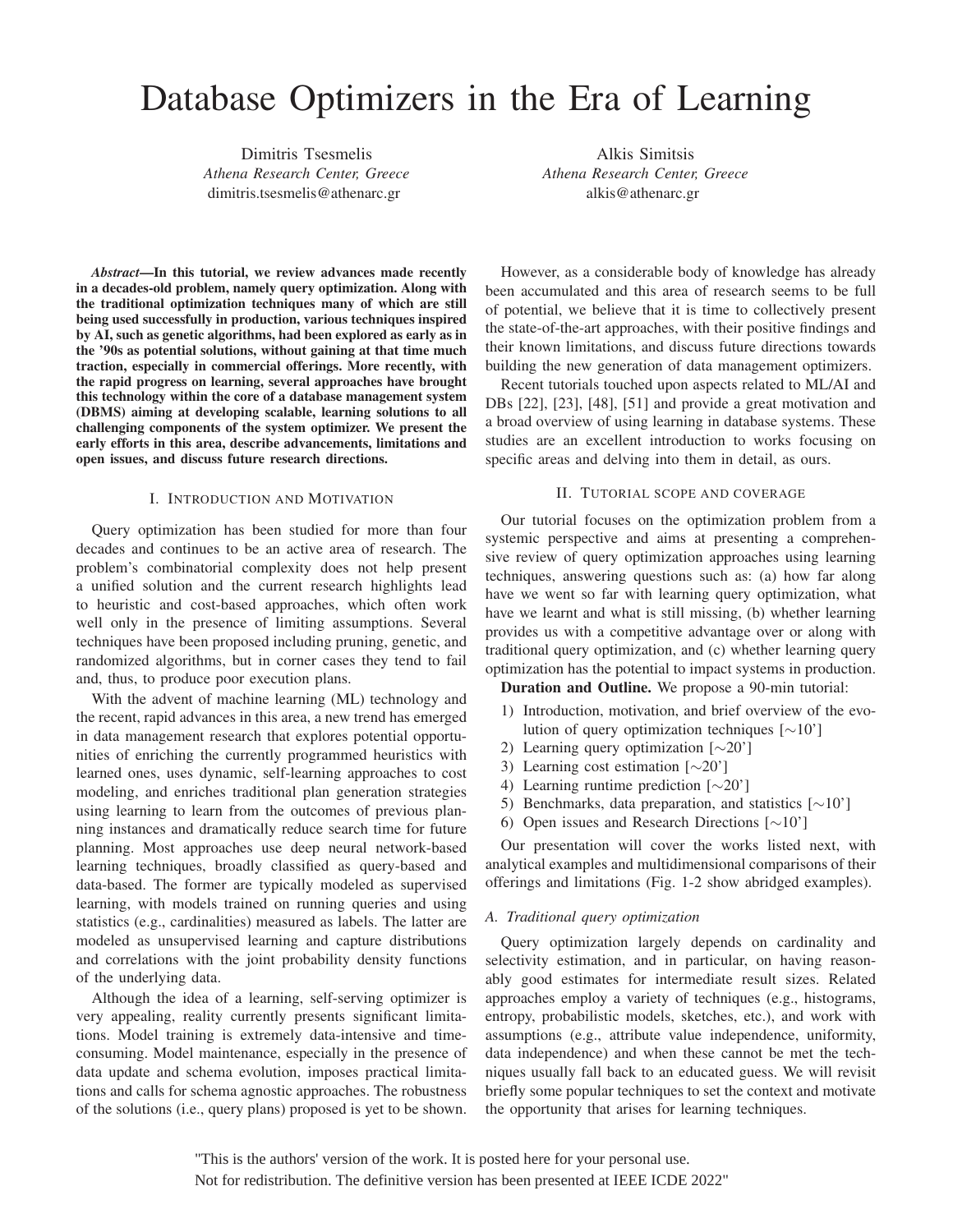# Database Optimizers in the Era of Learning

Dimitris Tsesmelis *Athena Research Center, Greece* dimitris.tsesmelis@athenarc.gr

Alkis Simitsis *Athena Research Center, Greece* alkis@athenarc.gr

*Abstract*—In this tutorial, we review advances made recently in a decades-old problem, namely query optimization. Along with the traditional optimization techniques many of which are still being used successfully in production, various techniques inspired by AI, such as genetic algorithms, had been explored as early as in the '90s as potential solutions, without gaining at that time much traction, especially in commercial offerings. More recently, with the rapid progress on learning, several approaches have brought this technology within the core of a database management system (DBMS) aiming at developing scalable, learning solutions to all challenging components of the system optimizer. We present the early efforts in this area, describe advancements, limitations and open issues, and discuss future research directions.

# I. INTRODUCTION AND MOTIVATION

Query optimization has been studied for more than four decades and continues to be an active area of research. The problem's combinatorial complexity does not help present a unified solution and the current research highlights lead to heuristic and cost-based approaches, which often work well only in the presence of limiting assumptions. Several techniques have been proposed including pruning, genetic, and randomized algorithms, but in corner cases they tend to fail and, thus, to produce poor execution plans.

With the advent of machine learning (ML) technology and the recent, rapid advances in this area, a new trend has emerged in data management research that explores potential opportunities of enriching the currently programmed heuristics with learned ones, uses dynamic, self-learning approaches to cost modeling, and enriches traditional plan generation strategies using learning to learn from the outcomes of previous planning instances and dramatically reduce search time for future planning. Most approaches use deep neural network-based learning techniques, broadly classified as query-based and data-based. The former are typically modeled as supervised learning, with models trained on running queries and using statistics (e.g., cardinalities) measured as labels. The latter are modeled as unsupervised learning and capture distributions and correlations with the joint probability density functions of the underlying data.

Although the idea of a learning, self-serving optimizer is very appealing, reality currently presents significant limitations. Model training is extremely data-intensive and timeconsuming. Model maintenance, especially in the presence of data update and schema evolution, imposes practical limitations and calls for schema agnostic approaches. The robustness of the solutions (i.e., query plans) proposed is yet to be shown.

However, as a considerable body of knowledge has already been accumulated and this area of research seems to be full of potential, we believe that it is time to collectively present the state-of-the-art approaches, with their positive findings and their known limitations, and discuss future directions towards building the new generation of data management optimizers.

Recent tutorials touched upon aspects related to ML/AI and DBs [22], [23], [48], [51] and provide a great motivation and a broad overview of using learning in database systems. These studies are an excellent introduction to works focusing on specific areas and delving into them in detail, as ours.

# II. TUTORIAL SCOPE AND COVERAGE

Our tutorial focuses on the optimization problem from a systemic perspective and aims at presenting a comprehensive review of query optimization approaches using learning techniques, answering questions such as: (a) how far along have we went so far with learning query optimization, what have we learnt and what is still missing, (b) whether learning provides us with a competitive advantage over or along with traditional query optimization, and (c) whether learning query optimization has the potential to impact systems in production.

Duration and Outline. We propose a 90-min tutorial:

- 1) Introduction, motivation, and brief overview of the evolution of query optimization techniques [∼10']
- 2) Learning query optimization [∼20']
- 3) Learning cost estimation [∼20']
- 4) Learning runtime prediction [∼20']
- 5) Benchmarks, data preparation, and statistics [∼10']
- 6) Open issues and Research Directions [∼10']

Our presentation will cover the works listed next, with analytical examples and multidimensional comparisons of their offerings and limitations (Fig. 1-2 show abridged examples).

#### *A. Traditional query optimization*

Query optimization largely depends on cardinality and selectivity estimation, and in particular, on having reasonably good estimates for intermediate result sizes. Related approaches employ a variety of techniques (e.g., histograms, entropy, probabilistic models, sketches, etc.), and work with assumptions (e.g., attribute value independence, uniformity, data independence) and when these cannot be met the techniques usually fall back to an educated guess. We will revisit briefly some popular techniques to set the context and motivate the opportunity that arises for learning techniques.

"This is the authors' version of the work. It is posted here for your personal use. Not for redistribution. The definitive version has been presented at IEEE ICDE 2022"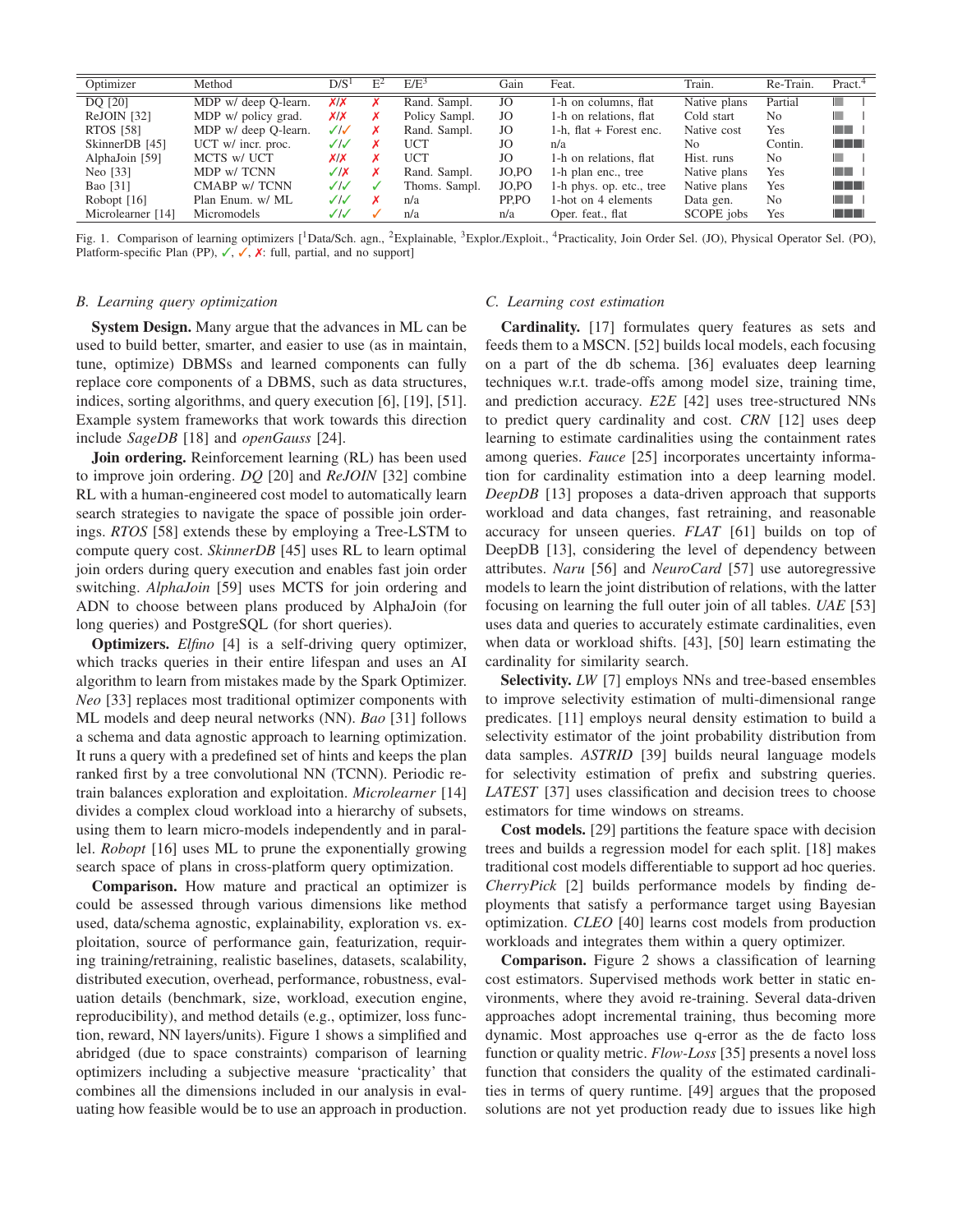| Optimizer         | Method               | D/S <sup>1</sup> | $E^2$ | $E/E^3$       | Gain  | Feat.                     | Train.         | Re-Train.      | Pract. <sup>4</sup> |
|-------------------|----------------------|------------------|-------|---------------|-------|---------------------------|----------------|----------------|---------------------|
| DQ [20]           | MDP w/ deep Q-learn. | X/X              |       | Rand. Sampl.  | JO    | 1-h on columns, flat      | Native plans   | Partial        | H.                  |
| $ReJOIN$ [32]     | MDP w/ policy grad.  | X/X              | х     | Policy Sampl. | JO    | 1-h on relations, flat    | Cold start     | No.            | H.                  |
| <b>RTOS</b> [58]  | MDP w/ deep Q-learn. | $\sqrt{3}$       |       | Rand. Sampl.  | JO    | 1-h. flat $+$ Forest enc. | Native cost    | Yes            | <b>The Contract</b> |
| SkinnerDB [45]    | UCT w/ incr. proc.   | $\checkmark$     | x     | <b>UCT</b>    | JO    | n/a                       | N <sub>0</sub> | Contin.        | <b>TELEP</b>        |
| AlphaJoin [59]    | MCTS w/ UCT          | X/X              | x     | UCT           | JO    | 1-h on relations, flat    | Hist. runs     | N <sub>0</sub> | <b>College</b>      |
| Neo [33]          | MDP w/TCNN           | $\sqrt{X}$       | x     | Rand. Sampl.  | JO.PO | 1-h plan enc., tree       | Native plans   | Yes            | <b>The Contract</b> |
| Bao [31]          | CMABP w/TCNN         | J/J              |       | Thoms. Sampl. | JO.PO | 1-h phys. op. etc., tree  | Native plans   | Yes            | <u> Film</u>        |
| Robopt $[16]$     | Plan Enum. w/ ML     | $\checkmark$     |       | n/a           | PP.PO | 1-hot on 4 elements       | Data gen.      | No             | <b>The Contract</b> |
| Microlearner [14] | Micromodels          | $\checkmark$     |       | n/a           | n/a   | Oper. feat., flat         | SCOPE jobs     | Yes            | <u> Timbul Shi</u>  |

Fig. 1. Comparison of learning optimizers [<sup>1</sup>Data/Sch. agn., <sup>2</sup>Explainable, <sup>3</sup>Explor./Exploit., <sup>4</sup>Practicality, Join Order Sel. (JO), Physical Operator Sel. (PO), Platform-specific Plan (PP),  $\checkmark$ ,  $\checkmark$ ,  $\checkmark$ : full, partial, and no support]

#### *B. Learning query optimization*

System Design. Many argue that the advances in ML can be used to build better, smarter, and easier to use (as in maintain, tune, optimize) DBMSs and learned components can fully replace core components of a DBMS, such as data structures, indices, sorting algorithms, and query execution [6], [19], [51]. Example system frameworks that work towards this direction include *SageDB* [18] and *openGauss* [24].

Join ordering. Reinforcement learning (RL) has been used to improve join ordering. *DQ* [20] and *ReJOIN* [32] combine RL with a human-engineered cost model to automatically learn search strategies to navigate the space of possible join orderings. *RTOS* [58] extends these by employing a Tree-LSTM to compute query cost. *SkinnerDB* [45] uses RL to learn optimal join orders during query execution and enables fast join order switching. *AlphaJoin* [59] uses MCTS for join ordering and ADN to choose between plans produced by AlphaJoin (for long queries) and PostgreSQL (for short queries).

**Optimizers.** *Elfino* [4] is a self-driving query optimizer, which tracks queries in their entire lifespan and uses an AI algorithm to learn from mistakes made by the Spark Optimizer. *Neo* [33] replaces most traditional optimizer components with ML models and deep neural networks (NN). *Bao* [31] follows a schema and data agnostic approach to learning optimization. It runs a query with a predefined set of hints and keeps the plan ranked first by a tree convolutional NN (TCNN). Periodic retrain balances exploration and exploitation. *Microlearner* [14] divides a complex cloud workload into a hierarchy of subsets, using them to learn micro-models independently and in parallel. *Robopt* [16] uses ML to prune the exponentially growing search space of plans in cross-platform query optimization.

Comparison. How mature and practical an optimizer is could be assessed through various dimensions like method used, data/schema agnostic, explainability, exploration vs. exploitation, source of performance gain, featurization, requiring training/retraining, realistic baselines, datasets, scalability, distributed execution, overhead, performance, robustness, evaluation details (benchmark, size, workload, execution engine, reproducibility), and method details (e.g., optimizer, loss function, reward, NN layers/units). Figure 1 shows a simplified and abridged (due to space constraints) comparison of learning optimizers including a subjective measure 'practicality' that combines all the dimensions included in our analysis in evaluating how feasible would be to use an approach in production.

#### *C. Learning cost estimation*

Cardinality. [17] formulates query features as sets and feeds them to a MSCN. [52] builds local models, each focusing on a part of the db schema. [36] evaluates deep learning techniques w.r.t. trade-offs among model size, training time, and prediction accuracy. *E2E* [42] uses tree-structured NNs to predict query cardinality and cost. *CRN* [12] uses deep learning to estimate cardinalities using the containment rates among queries. *Fauce* [25] incorporates uncertainty information for cardinality estimation into a deep learning model. *DeepDB* [13] proposes a data-driven approach that supports workload and data changes, fast retraining, and reasonable accuracy for unseen queries. *FLAT* [61] builds on top of DeepDB [13], considering the level of dependency between attributes. *Naru* [56] and *NeuroCard* [57] use autoregressive models to learn the joint distribution of relations, with the latter focusing on learning the full outer join of all tables. *UAE* [53] uses data and queries to accurately estimate cardinalities, even when data or workload shifts. [43], [50] learn estimating the cardinality for similarity search.

**Selectivity.** *LW* [7] employs NNs and tree-based ensembles to improve selectivity estimation of multi-dimensional range predicates. [11] employs neural density estimation to build a selectivity estimator of the joint probability distribution from data samples. *ASTRID* [39] builds neural language models for selectivity estimation of prefix and substring queries. *LATEST* [37] uses classification and decision trees to choose estimators for time windows on streams.

Cost models. [29] partitions the feature space with decision trees and builds a regression model for each split. [18] makes traditional cost models differentiable to support ad hoc queries. *CherryPick* [2] builds performance models by finding deployments that satisfy a performance target using Bayesian optimization. *CLEO* [40] learns cost models from production workloads and integrates them within a query optimizer.

Comparison. Figure 2 shows a classification of learning cost estimators. Supervised methods work better in static environments, where they avoid re-training. Several data-driven approaches adopt incremental training, thus becoming more dynamic. Most approaches use q-error as the de facto loss function or quality metric. *Flow-Loss* [35] presents a novel loss function that considers the quality of the estimated cardinalities in terms of query runtime. [49] argues that the proposed solutions are not yet production ready due to issues like high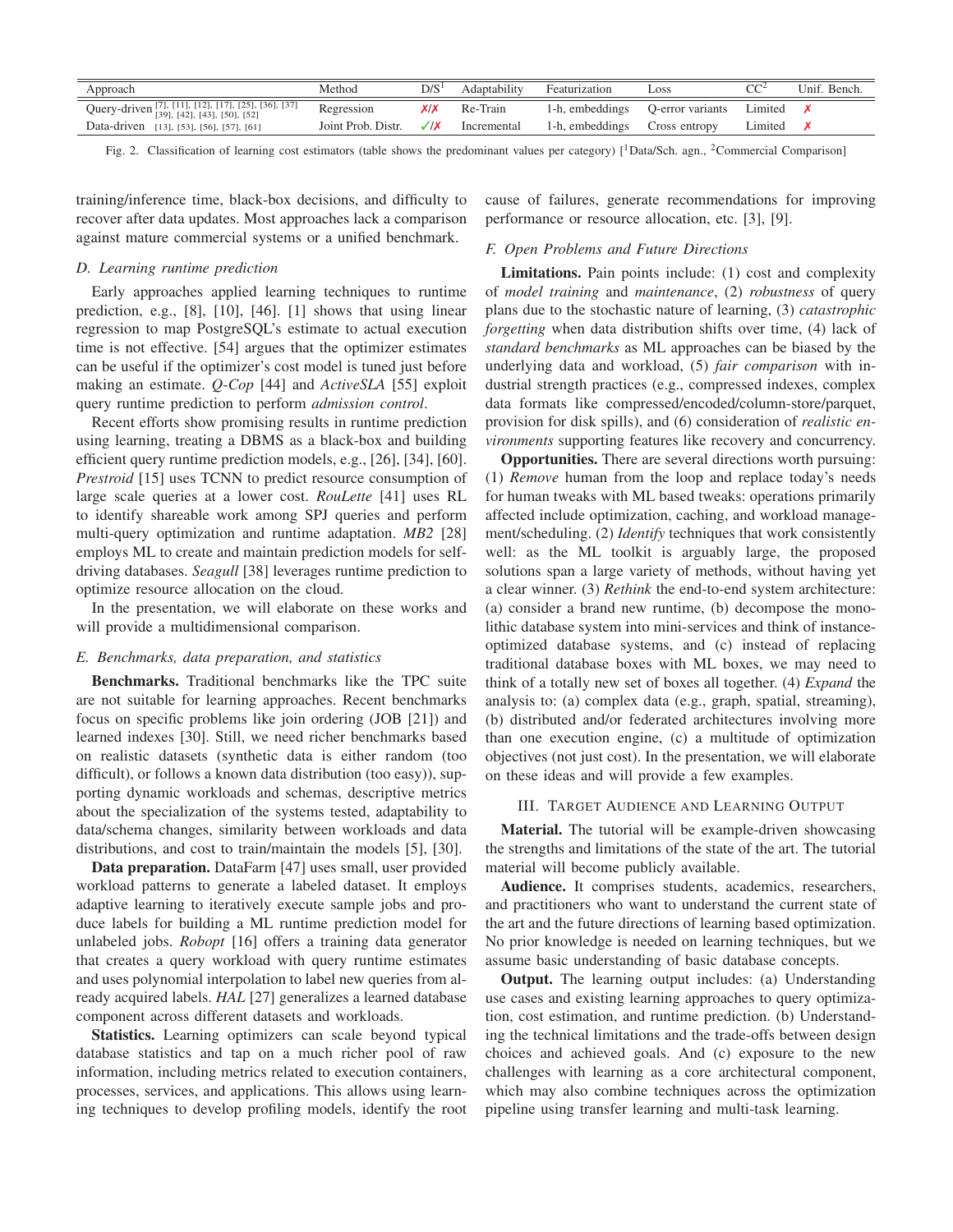| Approach                                             | Method             | D/S | Adaptability | Featurization   | Loss             |         | Unif. Bench. |
|------------------------------------------------------|--------------------|-----|--------------|-----------------|------------------|---------|--------------|
| Query-driven [7], [11], [12], [17], [25], [36], [37] | Regression         |     | Re-Train     | 1-h, embeddings | O-error variants | Limited |              |
| Data-driven [13], [53], [56], [57], [61]             | Joint Prob. Distr. |     | Incremental  | 1-h, embeddings | Cross entropy    | Limited |              |

Fig. 2. Classification of learning cost estimators (table shows the predominant values per category)  $[$ <sup>1</sup>Data/Sch. agn., <sup>2</sup>Commercial Comparison]

training/inference time, black-box decisions, and difficulty to recover after data updates. Most approaches lack a comparison against mature commercial systems or a unified benchmark.

# *D. Learning runtime prediction*

Early approaches applied learning techniques to runtime prediction, e.g., [8], [10], [46]. [1] shows that using linear regression to map PostgreSQL's estimate to actual execution time is not effective. [54] argues that the optimizer estimates can be useful if the optimizer's cost model is tuned just before making an estimate. *Q-Cop* [44] and *ActiveSLA* [55] exploit query runtime prediction to perform *admission control*.

Recent efforts show promising results in runtime prediction using learning, treating a DBMS as a black-box and building efficient query runtime prediction models, e.g., [26], [34], [60]. *Prestroid* [15] uses TCNN to predict resource consumption of large scale queries at a lower cost. *RouLette* [41] uses RL to identify shareable work among SPJ queries and perform multi-query optimization and runtime adaptation. *MB2* [28] employs ML to create and maintain prediction models for selfdriving databases. *Seagull* [38] leverages runtime prediction to optimize resource allocation on the cloud.

In the presentation, we will elaborate on these works and will provide a multidimensional comparison.

## *E. Benchmarks, data preparation, and statistics*

Benchmarks. Traditional benchmarks like the TPC suite are not suitable for learning approaches. Recent benchmarks focus on specific problems like join ordering (JOB [21]) and learned indexes [30]. Still, we need richer benchmarks based on realistic datasets (synthetic data is either random (too difficult), or follows a known data distribution (too easy)), supporting dynamic workloads and schemas, descriptive metrics about the specialization of the systems tested, adaptability to data/schema changes, similarity between workloads and data distributions, and cost to train/maintain the models [5], [30].

Data preparation. DataFarm [47] uses small, user provided workload patterns to generate a labeled dataset. It employs adaptive learning to iteratively execute sample jobs and produce labels for building a ML runtime prediction model for unlabeled jobs. *Robopt* [16] offers a training data generator that creates a query workload with query runtime estimates and uses polynomial interpolation to label new queries from already acquired labels. *HAL* [27] generalizes a learned database component across different datasets and workloads.

Statistics. Learning optimizers can scale beyond typical database statistics and tap on a much richer pool of raw information, including metrics related to execution containers, processes, services, and applications. This allows using learning techniques to develop profiling models, identify the root cause of failures, generate recommendations for improving performance or resource allocation, etc. [3], [9].

# *F. Open Problems and Future Directions*

Limitations. Pain points include: (1) cost and complexity of *model training* and *maintenance*, (2) *robustness* of query plans due to the stochastic nature of learning, (3) *catastrophic forgetting* when data distribution shifts over time, (4) lack of *standard benchmarks* as ML approaches can be biased by the underlying data and workload, (5) *fair comparison* with industrial strength practices (e.g., compressed indexes, complex data formats like compressed/encoded/column-store/parquet, provision for disk spills), and (6) consideration of *realistic environments* supporting features like recovery and concurrency.

Opportunities. There are several directions worth pursuing: (1) *Remove* human from the loop and replace today's needs for human tweaks with ML based tweaks: operations primarily affected include optimization, caching, and workload management/scheduling. (2) *Identify* techniques that work consistently well: as the ML toolkit is arguably large, the proposed solutions span a large variety of methods, without having yet a clear winner. (3) *Rethink* the end-to-end system architecture: (a) consider a brand new runtime, (b) decompose the monolithic database system into mini-services and think of instanceoptimized database systems, and (c) instead of replacing traditional database boxes with ML boxes, we may need to think of a totally new set of boxes all together. (4) *Expand* the analysis to: (a) complex data (e.g., graph, spatial, streaming), (b) distributed and/or federated architectures involving more than one execution engine, (c) a multitude of optimization objectives (not just cost). In the presentation, we will elaborate on these ideas and will provide a few examples.

#### III. TARGET AUDIENCE AND LEARNING OUTPUT

Material. The tutorial will be example-driven showcasing the strengths and limitations of the state of the art. The tutorial material will become publicly available.

Audience. It comprises students, academics, researchers, and practitioners who want to understand the current state of the art and the future directions of learning based optimization. No prior knowledge is needed on learning techniques, but we assume basic understanding of basic database concepts.

Output. The learning output includes: (a) Understanding use cases and existing learning approaches to query optimization, cost estimation, and runtime prediction. (b) Understanding the technical limitations and the trade-offs between design choices and achieved goals. And (c) exposure to the new challenges with learning as a core architectural component, which may also combine techniques across the optimization pipeline using transfer learning and multi-task learning.